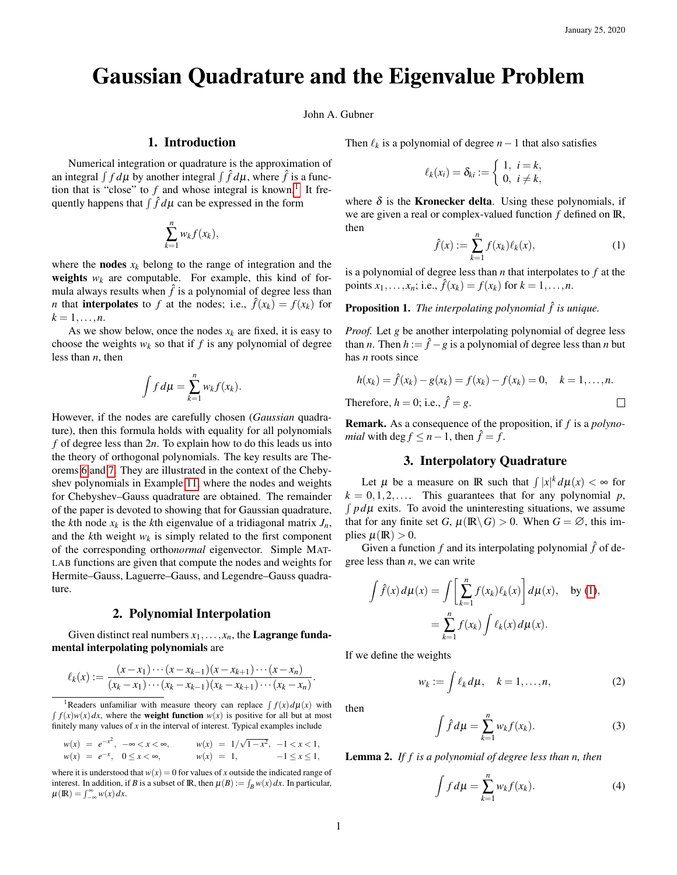$\Box$ 

# Gaussian Quadrature and the Eigenvalue Problem

John A. Gubner

## 1. Introduction

Numerical integration or quadrature is the approximation of an integral  $\int f d\mu$  by another integral  $\int \hat{f} d\mu$ , where  $\hat{f}$  is a function that is "close" to  $f$  and whose integral is known.<sup>[1](#page-0-0)</sup> It frequently happens that  $\int \hat{f} d\mu$  can be expressed in the form

$$
\sum_{k=1}^n w_k f(x_k),
$$

where the **nodes**  $x_k$  belong to the range of integration and the **weights**  $w_k$  are computable. For example, this kind of formula always results when  $\hat{f}$  is a polynomial of degree less than *n* that **interpolates** to *f* at the nodes; i.e.,  $\hat{f}(x_k) = f(x_k)$  for  $k = 1, \ldots, n$ .

As we show below, once the nodes  $x_k$  are fixed, it is easy to choose the weights  $w_k$  so that if  $f$  is any polynomial of degree less than *n*, then

$$
\int f d\mu = \sum_{k=1}^n w_k f(x_k).
$$

However, if the nodes are carefully chosen (*Gaussian* quadrature), then this formula holds with equality for all polynomials *f* of degree less than 2*n*. To explain how to do this leads us into the theory of orthogonal polynomials. The key results are Theorems [6](#page-2-0) and [7.](#page-2-1) They are illustrated in the context of the Chebyshev polynomials in Example [11,](#page-3-0) where the nodes and weights for Chebyshev–Gauss quadrature are obtained. The remainder of the paper is devoted to showing that for Gaussian quadrature, the *k*th node  $x_k$  is the *k*th eigenvalue of a tridiagonal matrix  $J_n$ , and the *k*th weight *w<sup>k</sup>* is simply related to the first component of the corresponding ortho*normal* eigenvector. Simple MAT-LAB functions are given that compute the nodes and weights for Hermite–Gauss, Laguerre–Gauss, and Legendre–Gauss quadrature.

#### 2. Polynomial Interpolation

Given distinct real numbers  $x_1, \ldots, x_n$ , the **Lagrange funda**mental interpolating polynomials are

$$
\ell_k(x) := \frac{(x-x_1)\cdots(x-x_{k-1})(x-x_{k+1})\cdots(x-x_n)}{(x_k-x_1)\cdots(x_k-x_{k-1})(x_k-x_{k+1})\cdots(x_k-x_n)}.
$$

$$
w(x) = e^{-x^2}, \quad -\infty < x < \infty, \quad w(x) = 1/\sqrt{1-x^2}, \quad -1 < x < 1, \\ w(x) = e^{-x}, \quad 0 \le x < \infty, \quad w(x) = 1, \quad -1 \le x \le 1,
$$

where it is understood that  $w(x) = 0$  for values of *x* outside the indicated range of interest. In addition, if *B* is a subset of **R**, then  $\mu(B) := \int_B w(x) dx$ . In particular,  $\mu(\mathbb{R}) = \int_{-\infty}^{\infty} w(x) dx.$ 

Then  $\ell_k$  is a polynomial of degree  $n-1$  that also satisfies

$$
\ell_k(x_i) = \delta_{ki} := \begin{cases} 1, & i = k, \\ 0, & i \neq k, \end{cases}
$$

where  $\delta$  is the **Kronecker delta**. Using these polynomials, if we are given a real or complex-valued function *f* defined on IR, then

<span id="page-0-1"></span>
$$
\hat{f}(x) := \sum_{k=1}^{n} f(x_k) \ell_k(x),
$$
\n(1)

is a polynomial of degree less than *n* that interpolates to *f* at the points  $x_1, ..., x_n$ ; i.e.,  $\hat{f}(x_k) = f(x_k)$  for  $k = 1, ..., n$ .

## <span id="page-0-2"></span>Proposition 1. *The interpolating polynomial*  $\hat{f}$  *is unique.*

*Proof.* Let *g* be another interpolating polynomial of degree less than *n*. Then  $h := \hat{f} - g$  is a polynomial of degree less than *n* but has *n* roots since

$$
h(x_k) = \hat{f}(x_k) - g(x_k) = f(x_k) - f(x_k) = 0, \quad k = 1, ..., n.
$$

Therefore,  $h = 0$ ; i.e.,  $\hat{f} = g$ .

Remark. As a consequence of the proposition, if *f* is a *polynomial* with deg  $f \leq n-1$ , then  $\hat{f} = f$ .

# 3. Interpolatory Quadrature

Let  $\mu$  be a measure on **IR** such that  $\int |x|^k d\mu(x) < \infty$  for  $k = 0, 1, 2, \ldots$  This guarantees that for any polynomial *p*,  $\int pd\mu$  exits. To avoid the uninteresting situations, we assume that for any finite set *G*,  $\mu(\mathbb{R}\backslash G) > 0$ . When  $G = \emptyset$ , this implies  $\mu(\mathbb{R}) > 0$ .

Given a function  $f$  and its interpolating polynomial  $\hat{f}$  of degree less than *n*, we can write

$$
\int \hat{f}(x) d\mu(x) = \int \left[ \sum_{k=1}^n f(x_k) \ell_k(x) \right] d\mu(x), \text{ by (1)},
$$

$$
= \sum_{k=1}^n f(x_k) \int \ell_k(x) d\mu(x).
$$

If we define the weights

<span id="page-0-6"></span>
$$
w_k := \int \ell_k d\mu, \quad k = 1, \dots, n,
$$
 (2)

then

<span id="page-0-3"></span>
$$
\int \hat{f} d\mu = \sum_{k=1}^{n} w_k f(x_k). \tag{3}
$$

<span id="page-0-5"></span>Lemma 2. *If f is a polynomial of degree less than n, then*

<span id="page-0-4"></span>
$$
\int f d\mu = \sum_{k=1}^{n} w_k f(x_k). \tag{4}
$$

<span id="page-0-0"></span><sup>&</sup>lt;sup>1</sup>Readers unfamiliar with measure theory can replace  $\int f(x) d\mu(x)$  with  $\int f(x)w(x) dx$ , where the **weight function**  $w(x)$  is positive for all but at most finitely many values of  $x$  in the interval of interest. Typical examples include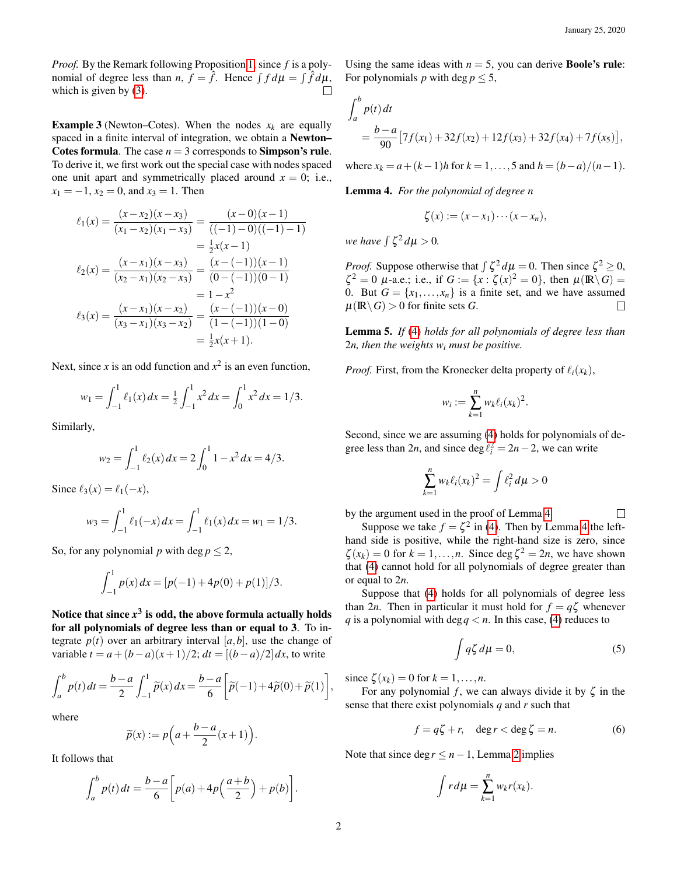*Proof.* By the Remark following Proposition [1,](#page-0-2) since *f* is a polynomial of degree less than *n*,  $f = \hat{f}$ . Hence  $\int f d\mu = \int \hat{f} d\mu$ , which is given by [\(3\)](#page-0-3).  $\Box$ 

**Example 3** (Newton–Cotes). When the nodes  $x_k$  are equally spaced in a finite interval of integration, we obtain a Newton– Cotes formula. The case  $n = 3$  corresponds to **Simpson's rule.** To derive it, we first work out the special case with nodes spaced one unit apart and symmetrically placed around  $x = 0$ ; i.e.,  $x_1 = -1, x_2 = 0,$  and  $x_3 = 1$ . Then

$$
\ell_1(x) = \frac{(x-x_2)(x-x_3)}{(x_1-x_2)(x_1-x_3)} = \frac{(x-0)(x-1)}{((-1)-0)((-1)-1)}
$$

$$
= \frac{1}{2}x(x-1)
$$

$$
\ell_2(x) = \frac{(x-x_1)(x-x_3)}{(x_2-x_1)(x_2-x_3)} = \frac{(x-(-1))(x-1)}{(0-(-1))(0-1)}
$$

$$
= 1-x^2
$$

$$
\ell_3(x) = \frac{(x-x_1)(x-x_2)}{(x_3-x_1)(x_3-x_2)} = \frac{(x-(-1))(x-0)}{(1-(-1))(1-0)}
$$

$$
= \frac{1}{2}x(x+1).
$$

Next, since  $x$  is an odd function and  $x^2$  is an even function,

$$
w_1 = \int_{-1}^1 \ell_1(x) \, dx = \frac{1}{2} \int_{-1}^1 x^2 \, dx = \int_0^1 x^2 \, dx = 1/3.
$$

Similarly,

$$
w_2 = \int_{-1}^1 \ell_2(x) \, dx = 2 \int_0^1 1 - x^2 \, dx = 4/3.
$$

Since  $\ell_3(x) = \ell_1(-x)$ ,

$$
w_3 = \int_{-1}^1 \ell_1(-x) \, dx = \int_{-1}^1 \ell_1(x) \, dx = w_1 = 1/3.
$$

So, for any polynomial *p* with deg  $p < 2$ ,

$$
\int_{-1}^{1} p(x) dx = [p(-1) + 4p(0) + p(1)]/3.
$$

Notice that since  $x^3$  is odd, the above formula actually holds for all polynomials of degree less than or equal to 3. To integrate  $p(t)$  over an arbitrary interval  $[a, b]$ , use the change of variable  $t = a + (b - a)(x + 1)/2$ ;  $dt = [(b - a)/2] dx$ , to write

$$
\int_a^b p(t) dt = \frac{b-a}{2} \int_{-1}^1 \widetilde{p}(x) dx = \frac{b-a}{6} \left[ \widetilde{p}(-1) + 4\widetilde{p}(0) + \widetilde{p}(1) \right],
$$

where

$$
\widetilde{p}(x) := p\Big(a + \frac{b-a}{2}(x+1)\Big).
$$

It follows that

$$
\int_{a}^{b} p(t) dt = \frac{b-a}{6} \bigg[ p(a) + 4p\bigg(\frac{a+b}{2}\bigg) + p(b) \bigg].
$$

Using the same ideas with  $n = 5$ , you can derive **Boole's rule:** For polynomials *p* with deg  $p \le 5$ ,

$$
\int_{a}^{b} p(t) dt
$$
  
=  $\frac{b-a}{90} [7f(x_1) + 32f(x_2) + 12f(x_3) + 32f(x_4) + 7f(x_5)],$ 

where  $x_k = a + (k-1)h$  for  $k = 1, ..., 5$  and  $h = (b-a)/(n-1)$ .

<span id="page-1-0"></span>Lemma 4. *For the polynomial of degree n*

$$
\zeta(x) := (x - x_1) \cdots (x - x_n),
$$

*we have*  $\int \zeta^2 d\mu > 0$ .

*Proof.* Suppose otherwise that  $\int \zeta^2 d\mu = 0$ . Then since  $\zeta^2 \ge 0$ ,  $\zeta^2 = 0$   $\mu$ -a.e.; i.e., if  $G := \{x : \zeta(x)^2 = 0\}$ , then  $\mu(\mathbb{R} \setminus G) =$ 0. But  $G = \{x_1, \ldots, x_n\}$  is a finite set, and we have assumed  $\mu(\mathbb{R}\setminus G) > 0$  for finite sets *G*.  $\Box$ 

<span id="page-1-3"></span>Lemma 5. *If* [\(4\)](#page-0-4) *holds for all polynomials of degree less than* 2*n, then the weights w<sup>i</sup> must be positive.*

*Proof.* First, from the Kronecker delta property of  $\ell_i(x_k)$ ,

$$
w_i := \sum_{k=1}^n w_k \ell_i(x_k)^2.
$$

Second, since we are assuming [\(4\)](#page-0-4) holds for polynomials of degree less than 2*n*, and since  $\deg \ell_i^2 = 2n - 2$ , we can write

$$
\sum_{k=1}^n w_k \ell_i(x_k)^2 = \int \ell_i^2 d\mu > 0
$$

by the argument used in the proof of Lemma [4.](#page-1-0)

 $\Box$ 

Suppose we take  $f = \zeta^2$  in [\(4\)](#page-0-4). Then by Lemma [4](#page-1-0) the lefthand side is positive, while the right-hand size is zero, since  $\zeta(x_k) = 0$  for  $k = 1, ..., n$ . Since deg  $\zeta^2 = 2n$ , we have shown that [\(4\)](#page-0-4) cannot hold for all polynomials of degree greater than or equal to 2*n*.

Suppose that [\(4\)](#page-0-4) holds for all polynomials of degree less than 2*n*. Then in particular it must hold for  $f = q\zeta$  whenever *q* is a polynomial with  $\deg q < n$ . In this case, [\(4\)](#page-0-4) reduces to

<span id="page-1-1"></span>
$$
\int q\zeta \, d\mu = 0,\tag{5}
$$

since  $\zeta(x_k) = 0$  for  $k = 1, \ldots, n$ .

For any polynomial *f*, we can always divide it by  $\zeta$  in the sense that there exist polynomials *q* and *r* such that

<span id="page-1-2"></span>
$$
f = q\zeta + r, \quad \deg r < \deg \zeta = n. \tag{6}
$$

Note that since  $\deg r \leq n-1$ , Lemma [2](#page-0-5) implies

$$
\int r d\mu = \sum_{k=1}^n w_k r(x_k).
$$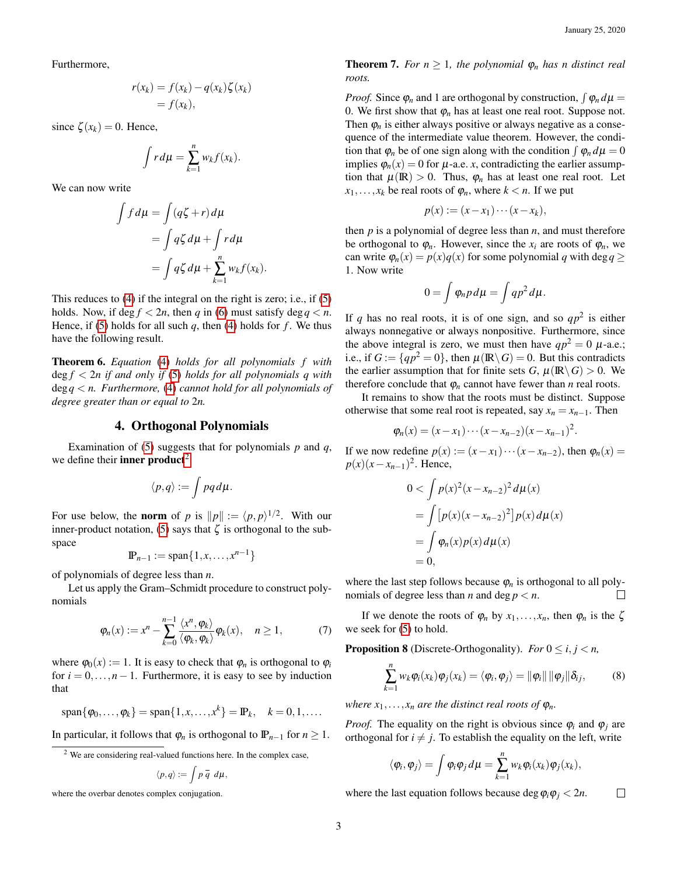Furthermore,

$$
r(x_k) = f(x_k) - q(x_k)\zeta(x_k)
$$
  
=  $f(x_k)$ ,

since  $\zeta(x_k) = 0$ . Hence,

Z

$$
\int r d\mu = \sum_{k=1}^n w_k f(x_k).
$$

We can now write

$$
\int f d\mu = \int (q\zeta + r) d\mu
$$
  
= 
$$
\int q\zeta d\mu + \int r d\mu
$$
  
= 
$$
\int q\zeta d\mu + \sum_{k=1}^{n} w_k f(x_k).
$$

This reduces to [\(4\)](#page-0-4) if the integral on the right is zero; i.e., if [\(5\)](#page-1-1) holds. Now, if deg  $f < 2n$ , then q in [\(6\)](#page-1-2) must satisfy deg  $q < n$ . Hence, if [\(5\)](#page-1-1) holds for all such  $q$ , then [\(4\)](#page-0-4) holds for  $f$ . We thus have the following result.

<span id="page-2-0"></span>Theorem 6. *Equation* [\(4\)](#page-0-4) *holds for all polynomials f with* deg *f* < 2*n if and only if* [\(5\)](#page-1-1) *holds for all polynomials q with* deg*q* < *n. Furthermore,* [\(4\)](#page-0-4) *cannot hold for all polynomials of degree greater than or equal to* 2*n.*

### 4. Orthogonal Polynomials

Examination of [\(5\)](#page-1-1) suggests that for polynomials *p* and *q*, we define their **inner product**<sup>[2](#page-2-2)</sup>

$$
\langle p,q\rangle:=\int pq\,d\mu.
$$

For use below, the **norm** of *p* is  $||p|| := \langle p, p \rangle^{1/2}$ . With our inner-product notation, [\(5\)](#page-1-1) says that  $\zeta$  is orthogonal to the subspace

$$
\mathbb{P}_{n-1} := \text{span}\{1, x, \dots, x^{n-1}\}
$$

of polynomials of degree less than *n*.

Let us apply the Gram–Schmidt procedure to construct polynomials

$$
\varphi_n(x) := x^n - \sum_{k=0}^{n-1} \frac{\langle x^n, \varphi_k \rangle}{\langle \varphi_k, \varphi_k \rangle} \varphi_k(x), \quad n \ge 1,
$$
 (7)

where  $\varphi_0(x) := 1$ . It is easy to check that  $\varphi_n$  is orthogonal to  $\varphi_i$ for  $i = 0, \ldots, n - 1$ . Furthermore, it is easy to see by induction that

$$
span{\varphi_0,\ldots,\varphi_k} = span{1, x, \ldots, x^k} = \mathbb{P}_k, \quad k = 0, 1, \ldots
$$

<span id="page-2-1"></span>In particular, it follows that  $\varphi_n$  is orthogonal to  $\mathbb{P}_{n-1}$  for  $n \geq 1$ .

$$
\langle p,q\rangle:=\int p\,\overline q\,\ d\mu,
$$

where the overbar denotes complex conjugation.

#### **Theorem 7.** *For*  $n \geq 1$ *, the polynomial*  $\varphi_n$  *has n* distinct real *roots.*

*Proof.* Since  $\varphi_n$  and 1 are orthogonal by construction,  $\int \varphi_n d\mu =$ 0. We first show that  $\varphi_n$  has at least one real root. Suppose not. Then  $\varphi_n$  is either always positive or always negative as a consequence of the intermediate value theorem. However, the condition that  $\varphi_n$  be of one sign along with the condition  $\int \varphi_n d\mu = 0$ implies  $\varphi_n(x) = 0$  for  $\mu$ -a.e. *x*, contradicting the earlier assumption that  $\mu(\mathbb{R}) > 0$ . Thus,  $\varphi_n$  has at least one real root. Let  $x_1, \ldots, x_k$  be real roots of  $\varphi_n$ , where  $k < n$ . If we put

$$
p(x) := (x - x_1) \cdots (x - x_k),
$$

then *p* is a polynomial of degree less than *n*, and must therefore be orthogonal to  $\varphi_n$ . However, since the  $x_i$  are roots of  $\varphi_n$ , we can write  $\varphi_n(x) = p(x)q(x)$  for some polynomial q with deg  $q \ge$ 1. Now write

$$
0=\int \varphi_n p d\mu=\int qp^2 d\mu.
$$

If *q* has no real roots, it is of one sign, and so  $qp^2$  is either always nonnegative or always nonpositive. Furthermore, since the above integral is zero, we must then have  $qp^2 = 0$   $\mu$ -a.e.; i.e., if  $G := \{qp^2 = 0\}$ , then  $\mu(\mathbb{R} \setminus G) = 0$ . But this contradicts the earlier assumption that for finite sets *G*,  $\mu(\mathbb{R}\setminus G) > 0$ . We therefore conclude that  $\varphi_n$  cannot have fewer than *n* real roots.

It remains to show that the roots must be distinct. Suppose otherwise that some real root is repeated, say  $x_n = x_{n-1}$ . Then

$$
\varphi_n(x) = (x - x_1) \cdots (x - x_{n-2})(x - x_{n-1})^2.
$$

If we now redefine  $p(x) := (x - x_1) \cdots (x - x_{n-2})$ , then  $\varphi_n(x) =$  $p(x)(x-x_{n-1})^2$ . Hence,

$$
0 < \int p(x)^2 (x - x_{n-2})^2 d\mu(x)
$$
  
= 
$$
\int [p(x)(x - x_{n-2})^2] p(x) d\mu(x)
$$
  
= 
$$
\int \varphi_n(x) p(x) d\mu(x)
$$
  
= 0,

where the last step follows because  $\varphi_n$  is orthogonal to all polynomials of degree less than *n* and deg  $p < n$ .  $\Box$ 

If we denote the roots of  $\varphi_n$  by  $x_1, \ldots, x_n$ , then  $\varphi_n$  is the  $\zeta$ we seek for [\(5\)](#page-1-1) to hold.

**Proposition 8** (Discrete-Orthogonality). *For*  $0 \le i, j \le n$ ,

<span id="page-2-3"></span>
$$
\sum_{k=1}^n w_k \varphi_i(x_k) \varphi_j(x_k) = \langle \varphi_i, \varphi_j \rangle = ||\varphi_i|| ||\varphi_j|| \delta_{ij}, \qquad (8)
$$

*where*  $x_1, \ldots, x_n$  *are the distinct real roots of*  $\varphi_n$ *.* 

*Proof.* The equality on the right is obvious since  $\varphi_i$  and  $\varphi_j$  are orthogonal for  $i \neq j$ . To establish the equality on the left, write

$$
\langle \varphi_i, \varphi_j \rangle = \int \varphi_i \varphi_j d\mu = \sum_{k=1}^n w_k \varphi_i(x_k) \varphi_j(x_k),
$$

where the last equation follows because deg  $\varphi_i \varphi_j < 2n$ .  $\Box$ 

<span id="page-2-2"></span><sup>&</sup>lt;sup>2</sup> We are considering real-valued functions here. In the complex case,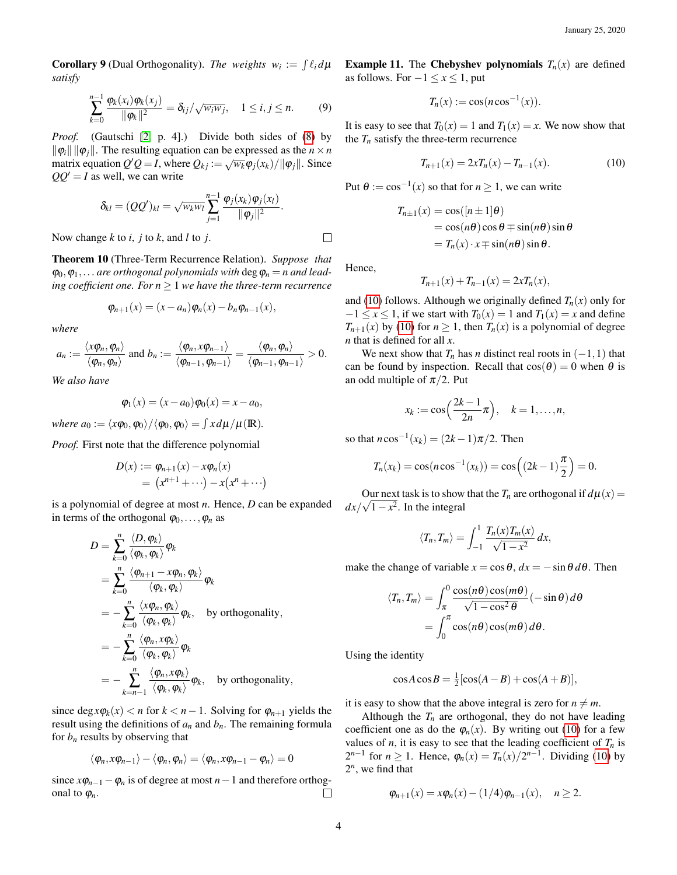**Corollary 9** (Dual Orthogonality). *The weights*  $w_i := \int \ell_i d\mu$ *satisfy*

<span id="page-3-2"></span>
$$
\sum_{k=0}^{n-1} \frac{\varphi_k(x_i)\varphi_k(x_j)}{\|\varphi_k\|^2} = \delta_{ij}/\sqrt{w_iw_j}, \quad 1 \le i, j \le n.
$$
 (9)

*Proof.* (Gautschi [\[2,](#page-6-0) p. 4].) Divide both sides of [\(8\)](#page-2-3) by  $\|\varphi_i\| \|\varphi_j\|$ . The resulting equation can be expressed as the  $n \times n$ matrix equation  $Q'Q = I$ , where  $Q_{kj} := \sqrt{w_k} \phi_j(x_k) / ||\phi_j||$ . Since  $QQ' = I$  as well, we can write

$$
\delta_{kl}=(QQ')_{kl}=\sqrt{w_kw_l}\sum_{j=1}^{n-1}\frac{\varphi_j(x_k)\varphi_j(x_l)}{\|\varphi_j\|^2}.
$$

<span id="page-3-3"></span>Now change *k* to *i*, *j* to *k*, and *l* to *j*.

Theorem 10 (Three-Term Recurrence Relation). *Suppose that*  $\varphi_0, \varphi_1, \ldots$  are orthogonal polynomials with  $\deg \varphi_n = n$  and lead*ing coefficient one. For*  $n \geq 1$  *we have the three-term recurrence* 

$$
\varphi_{n+1}(x) = (x - a_n)\varphi_n(x) - b_n\varphi_{n-1}(x),
$$

*where*

$$
a_n:=\frac{\langle x\varphi_n,\varphi_n\rangle}{\langle \varphi_n,\varphi_n\rangle} \text{ and } b_n:=\frac{\langle \varphi_n,x\varphi_{n-1}\rangle}{\langle \varphi_{n-1},\varphi_{n-1}\rangle}=\frac{\langle \varphi_n,\varphi_n\rangle}{\langle \varphi_{n-1},\varphi_{n-1}\rangle}>0.
$$

*We also have*

$$
\varphi_1(x) = (x - a_0)\varphi_0(x) = x - a_0,
$$

*where*  $a_0 := \langle x\varphi_0, \varphi_0 \rangle / \langle \varphi_0, \varphi_0 \rangle = \int x d\mu / \mu(\mathbb{R}).$ 

*Proof.* First note that the difference polynomial

$$
D(x) := \varphi_{n+1}(x) - x\varphi_n(x)
$$
  
=  $(x^{n+1} + \cdots) - x(x^n + \cdots)$ 

is a polynomial of degree at most *n*. Hence, *D* can be expanded in terms of the orthogonal  $\varphi_0, \ldots, \varphi_n$  as

$$
D = \sum_{k=0}^{n} \frac{\langle D, \varphi_k \rangle}{\langle \varphi_k, \varphi_k \rangle} \varphi_k
$$
  
= 
$$
\sum_{k=0}^{n} \frac{\langle \varphi_{n+1} - x \varphi_n, \varphi_k \rangle}{\langle \varphi_k, \varphi_k \rangle} \varphi_k
$$
  
= 
$$
- \sum_{k=0}^{n} \frac{\langle x \varphi_n, \varphi_k \rangle}{\langle \varphi_k, \varphi_k \rangle} \varphi_k
$$
, by orthogonality,  
= 
$$
- \sum_{k=0}^{n} \frac{\langle \varphi_n, x \varphi_k \rangle}{\langle \varphi_k, \varphi_k \rangle} \varphi_k
$$
  
= 
$$
- \sum_{k=n-1}^{n} \frac{\langle \varphi_n, x \varphi_k \rangle}{\langle \varphi_k, \varphi_k \rangle} \varphi_k
$$
, by orthogonality,

since deg $x\varphi_k(x) < n$  for  $k < n - 1$ . Solving for  $\varphi_{n+1}$  yields the result using the definitions of  $a_n$  and  $b_n$ . The remaining formula for  $b_n$  results by observing that

$$
\langle \pmb{\varphi}_n, x \pmb{\varphi}_{n-1} \rangle - \langle \pmb{\varphi}_n, \pmb{\varphi}_n \rangle = \langle \pmb{\varphi}_n, x \pmb{\varphi}_{n-1} - \pmb{\varphi}_n \rangle = 0
$$

<span id="page-3-0"></span>since  $x\varphi_{n-1}-\varphi_n$  is of degree at most  $n-1$  and therefore orthogonal to  $\varphi_n$ .  $\Box$  **Example 11.** The Chebyshev polynomials  $T_n(x)$  are defined as follows. For  $-1 \le x \le 1$ , put

$$
T_n(x) := \cos(n \cos^{-1}(x)).
$$

It is easy to see that  $T_0(x) = 1$  and  $T_1(x) = x$ . We now show that the  $T<sub>n</sub>$  satisfy the three-term recurrence

<span id="page-3-1"></span>
$$
T_{n+1}(x) = 2xT_n(x) - T_{n-1}(x).
$$
 (10)

Put  $\theta := \cos^{-1}(x)$  so that for  $n \ge 1$ , we can write

$$
T_{n\pm 1}(x) = \cos([n \pm 1]\theta)
$$
  
=  $\cos(n\theta) \cos \theta \mp \sin(n\theta) \sin \theta$   
=  $T_n(x) \cdot x \mp \sin(n\theta) \sin \theta$ .

Hence,

 $\Box$ 

$$
T_{n+1}(x) + T_{n-1}(x) = 2xT_n(x),
$$

and [\(10\)](#page-3-1) follows. Although we originally defined  $T_n(x)$  only for  $-1 \le x \le 1$ , if we start with  $T_0(x) = 1$  and  $T_1(x) = x$  and define *T*<sub>*n*+1</sub>(*x*) by [\(10\)](#page-3-1) for  $n \ge 1$ , then  $T_n(x)$  is a polynomial of degree *n* that is defined for all *x*.

We next show that  $T_n$  has *n* distinct real roots in  $(-1,1)$  that can be found by inspection. Recall that  $cos(\theta) = 0$  when  $\theta$  is an odd multiple of  $\pi/2$ . Put

$$
x_k := \cos\left(\frac{2k-1}{2n}\pi\right), \quad k = 1,\ldots,n,
$$

so that  $n \cos^{-1}(x_k) = (2k-1)\pi/2$ . Then

$$
T_n(x_k) = \cos(n \cos^{-1}(x_k)) = \cos((2k-1)\frac{\pi}{2}) = 0.
$$

Our next task is to show that the  $T_n$  are orthogonal if  $d\mu(x) = \sqrt{\frac{1}{x}}$  $dx/\sqrt{1-x^2}$ . In the integral

$$
\langle T_n, T_m \rangle = \int_{-1}^1 \frac{T_n(x) T_m(x)}{\sqrt{1 - x^2}} dx,
$$

make the change of variable  $x = \cos \theta$ ,  $dx = -\sin \theta d\theta$ . Then

$$
\langle T_n, T_m \rangle = \int_{\pi}^0 \frac{\cos(n\theta)\cos(m\theta)}{\sqrt{1-\cos^2\theta}} (-\sin\theta) d\theta
$$

$$
= \int_0^{\pi} \cos(n\theta)\cos(m\theta) d\theta.
$$

Using the identity

$$
\cos A \cos B = \frac{1}{2} [\cos(A - B) + \cos(A + B)],
$$

it is easy to show that the above integral is zero for  $n \neq m$ .

Although the  $T<sub>n</sub>$  are orthogonal, they do not have leading coefficient one as do the  $\varphi_n(x)$ . By writing out [\(10\)](#page-3-1) for a few values of *n*, it is easy to see that the leading coefficient of  $T<sub>n</sub>$  is 2<sup>*n*−1</sup> for *n* ≥ 1. Hence,  $\varphi_n(x) = T_n(x)/2^{n-1}$ . Dividing [\(10\)](#page-3-1) by  $2^n$ , we find that

$$
\varphi_{n+1}(x) = x \varphi_n(x) - (1/4) \varphi_{n-1}(x), \quad n \ge 2.
$$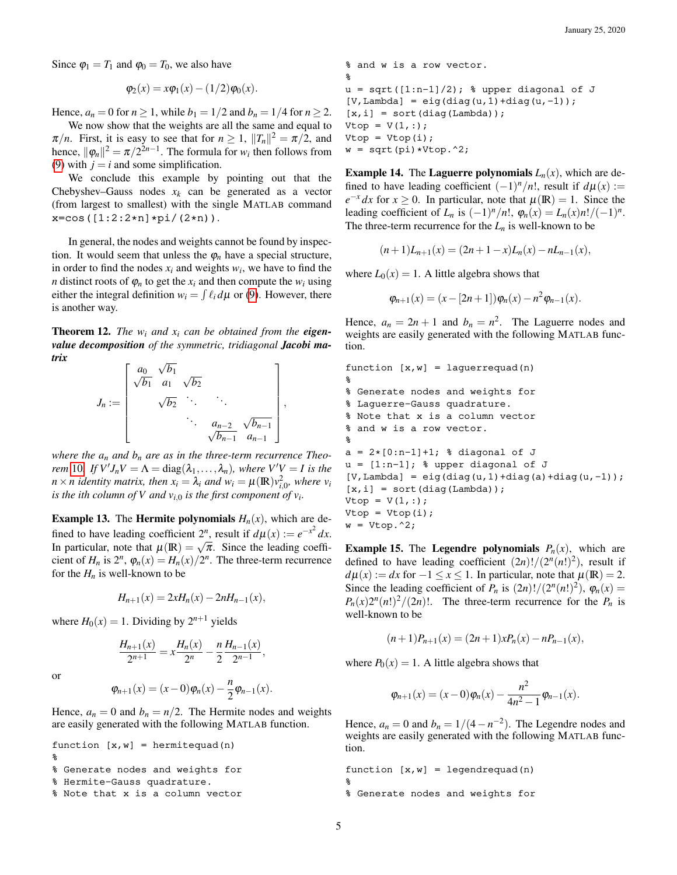Since  $\varphi_1 = T_1$  and  $\varphi_0 = T_0$ , we also have

$$
\varphi_2(x) = x \varphi_1(x) - (1/2) \varphi_0(x).
$$

Hence,  $a_n = 0$  for  $n \ge 1$ , while  $b_1 = 1/2$  and  $b_n = 1/4$  for  $n \ge 2$ .

We now show that the weights are all the same and equal to  $\pi/n$ . First, it is easy to see that for  $n \geq 1$ ,  $||T_n||^2 = \pi/2$ , and hence,  $\|\varphi_n\|^2 = \pi/2^{2n-1}$ . The formula for  $w_i$  then follows from [\(9\)](#page-3-2) with  $j = i$  and some simplification.

We conclude this example by pointing out that the Chebyshev–Gauss nodes  $x_k$  can be generated as a vector (from largest to smallest) with the single MATLAB command  $x = cos([1:2:2*n]*pi/(2*n)).$ 

In general, the nodes and weights cannot be found by inspection. It would seem that unless the  $\varphi_n$  have a special structure, in order to find the nodes  $x_i$  and weights  $w_i$ , we have to find the *n* distinct roots of  $\varphi_n$  to get the  $x_i$  and then compute the  $w_i$  using either the integral definition  $w_i = \int \ell_i d\mu$  or [\(9\)](#page-3-2). However, there is another way.

<span id="page-4-0"></span>**Theorem 12.** The  $w_i$  and  $x_i$  can be obtained from the **eigen***value decomposition of the symmetric, tridiagonal Jacobi matrix* √

$$
J_n := \begin{bmatrix} a_0 & \sqrt{b_1} \\ \sqrt{b_1} & a_1 & \sqrt{b_2} \\ & \sqrt{b_2} & \ddots & \ddots \\ & & \ddots & a_{n-2} & \sqrt{b_{n-1}} \\ & & & \sqrt{b_{n-1}} & a_{n-1} \end{bmatrix},
$$

*where the*  $a_n$  *and*  $b_n$  *are as in the three-term recurrence Theorem* [10](#page-3-3). *If*  $V'J_nV = \Lambda = \text{diag}(\lambda_1,\ldots,\lambda_n)$ *, where*  $V'V = I$  *is the n*  $\times$  *n identity matrix, then*  $x_i = \lambda_i$  *and*  $w_i = \mu(\mathbb{R})v_{i,0}^2$ *, where*  $v_i$ *is the ith column of V and*  $v_{i,0}$  *is the first component of*  $v_i$ *.* 

**Example 13.** The **Hermite polynomials**  $H_n(x)$ , which are defined to have leading coefficient  $2^n$ , result if  $d\mu(x) := e^{-x^2} dx$ . In particular, note that  $\mu(\mathbb{R}) = \sqrt{\pi}$ . Since the leading coeffi-<br>In particular, note that  $\mu(\mathbb{R}) = \sqrt{\pi}$ . Since the leading coefficient of  $H_n$  is  $2^n$ ,  $\varphi_n(x) = H_n(x)/2^n$ . The three-term recurrence for the  $H_n$  is well-known to be

$$
H_{n+1}(x) = 2xH_n(x) - 2nH_{n-1}(x),
$$

where  $H_0(x) = 1$ . Dividing by  $2^{n+1}$  yields

$$
\frac{H_{n+1}(x)}{2^{n+1}} = x \frac{H_n(x)}{2^n} - \frac{n}{2} \frac{H_{n-1}(x)}{2^{n-1}},
$$

or

$$
\varphi_{n+1}(x) = (x-0)\varphi_n(x) - \frac{n}{2}\varphi_{n-1}(x).
$$

Hence,  $a_n = 0$  and  $b_n = n/2$ . The Hermite nodes and weights are easily generated with the following MATLAB function.

```
function [x,w] = hermitequad(n)%
% Generate nodes and weights for
% Hermite-Gauss quadrature.
% Note that x is a column vector
```

```
% and w is a row vector.
\epsilonu = sqrt([1:n-1]/2); % upper diagonal of J
[V, \text{Lambda}] = \text{eig}(\text{diag}(u, 1) + \text{diag}(u, -1));[x, i] = sort(diag(Lambda));Vtop = V(1,:);Vtop = Vtop(i);w = sqrt(pi) * Vtop.^2;
```
**Example 14.** The Laguerre polynomials  $L_n(x)$ , which are defined to have leading coefficient  $(-1)^n/n!$ , result if  $d\mu(x)$  :=  $e^{-x} dx$  for  $x \ge 0$ . In particular, note that  $\mu(\mathbb{R}) = 1$ . Since the leading coefficient of  $L_n$  is  $(-1)^n/n!$ ,  $\varphi_n(x) = L_n(x)n! / (-1)^n$ . The three-term recurrence for the  $L_n$  is well-known to be

$$
(n+1)L_{n+1}(x) = (2n+1-x)L_n(x) - nL_{n-1}(x),
$$

where  $L_0(x) = 1$ . A little algebra shows that

$$
\varphi_{n+1}(x) = (x - [2n+1])\varphi_n(x) - n^2 \varphi_{n-1}(x).
$$

Hence,  $a_n = 2n + 1$  and  $b_n = n^2$ . The Laguerre nodes and weights are easily generated with the following MATLAB function.

```
function [x,w] = \text{laguerrequad}(n)\epsilon% Generate nodes and weights for
% Laguerre-Gauss quadrature.
% Note that x is a column vector
% and w is a row vector.
\epsilona = 2*[0:n-1]+1; % diagonal of J
u = [1:n-1]; % upper diagonal of J
[V, \text{Lambda}] = \text{eig}(\text{diag}(u, 1) + \text{diag}(a) + \text{diag}(u, -1));
[x, i] = sort(diag(Lambda));Vtop = V(1, :);Vtop = Vtop(i);w = Vtop.^2;
```
**Example 15.** The Legendre polynomials  $P_n(x)$ , which are defined to have leading coefficient  $(2n)!/(2^n(n!)^2)$ , result if  $d\mu(x) := dx$  for  $-1 \le x \le 1$ . In particular, note that  $\mu(\mathbb{R}) = 2$ . Since the leading coefficient of  $P_n$  is  $(2n)!/(2^n(n!)^2)$ ,  $\varphi_n(x) =$  $P_n(x)2^n(n!)^2/(2n)!$ . The three-term recurrence for the  $P_n$  is well-known to be

$$
(n+1)P_{n+1}(x) = (2n+1)xP_n(x) - nP_{n-1}(x),
$$

where  $P_0(x) = 1$ . A little algebra shows that

$$
\varphi_{n+1}(x) = (x-0)\varphi_n(x) - \frac{n^2}{4n^2 - 1}\varphi_{n-1}(x).
$$

Hence,  $a_n = 0$  and  $b_n = 1/(4 - n^{-2})$ . The Legendre nodes and weights are easily generated with the following MATLAB function.

```
function [x,w] = \text{legendrequad}(n)%
% Generate nodes and weights for
```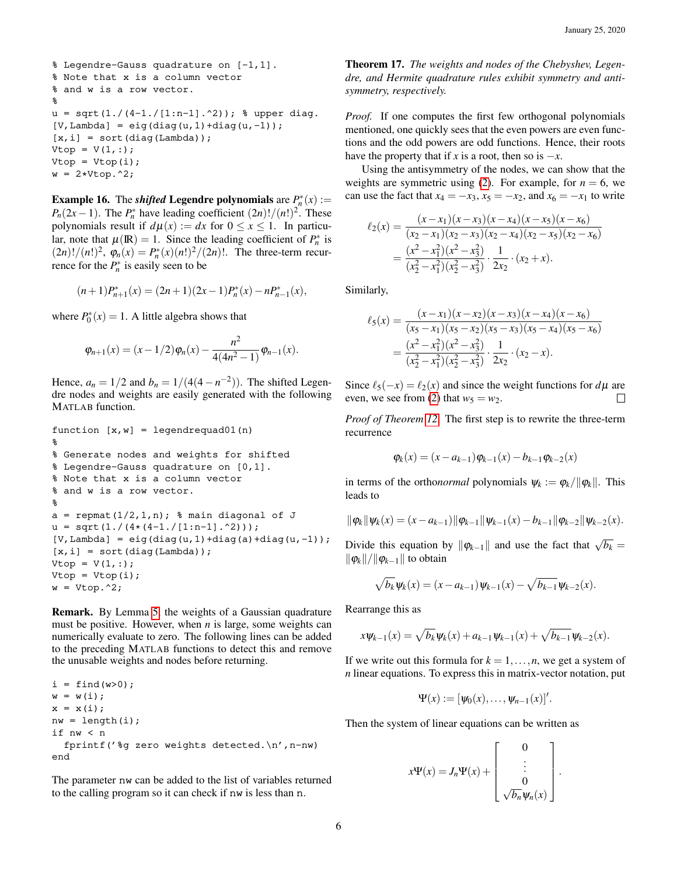```
% Legendre-Gauss quadrature on [-1,1].
% Note that x is a column vector
% and w is a row vector.
%
u = sqrt(1./(4-1./[1:n-1].2)); % upper diag.
[V, \text{Lambda}] = \text{eig}(\text{diag}(u, 1) + \text{diag}(u, -1));[x, i] = sort(diag(Lambda));Vtop = V(1, :);Vtop = Vtop(i);w = 2*Vtop.^2;
```
**Example 16.** The *shifted* Legendre polynomials are  $P_n^*(x)$  :=  $P_n(2x-1)$ . The  $P_n^*$  have leading coefficient  $(2n)!/(n!)^2$ . These polynomials result if  $d\mu(x) := dx$  for  $0 \le x \le 1$ . In particular, note that  $\mu(\mathbb{R}) = 1$ . Since the leading coefficient of  $P_n^*$  is  $(2n)!/(n!)^2$ ,  $\varphi_n(x) = P_n^*(x)(n!)^2/(2n)!$ . The three-term recurrence for the  $P_n^*$  is easily seen to be

$$
(n+1)P_{n+1}^{*}(x) = (2n+1)(2x-1)P_{n}^{*}(x) - nP_{n-1}^{*}(x),
$$

where  $P_0^*(x) = 1$ . A little algebra shows that

$$
\varphi_{n+1}(x) = (x-1/2)\varphi_n(x) - \frac{n^2}{4(4n^2-1)}\varphi_{n-1}(x).
$$

Hence,  $a_n = 1/2$  and  $b_n = 1/(4(4-n^{-2}))$ . The shifted Legendre nodes and weights are easily generated with the following MATLAB function.

```
function [x,w] = \text{legentequad}(01(n))\epsilon% Generate nodes and weights for shifted
% Legendre-Gauss quadrature on [0,1].
% Note that x is a column vector
% and w is a row vector.
%
a = repmat (1/2, 1, n); % main diagonal of J
u = sqrt(1./(4*(4-1./[1:n-1].^2)));
[V, \text{Lambda}] = \text{eig}(\text{diag}(u, 1) + \text{diag}(a) + \text{diag}(u, -1));
[x, i] = sort(diag(Lambda));Vtop = V(1, :);Vtop = Vtop(i);w = Vtop.^2;
```
Remark. By Lemma [5,](#page-1-3) the weights of a Gaussian quadrature must be positive. However, when *n* is large, some weights can numerically evaluate to zero. The following lines can be added to the preceding MATLAB functions to detect this and remove the unusable weights and nodes before returning.

 $i = \text{find}(w>0);$  $w = w(i);$  $x = x(i);$  $nw = length(i);$ if nw < n fprintf('%g zero weights detected.\n',n-nw) end

The parameter nw can be added to the list of variables returned to the calling program so it can check if nw is less than n.

Theorem 17. *The weights and nodes of the Chebyshev, Legendre, and Hermite quadrature rules exhibit symmetry and antisymmetry, respectively.*

*Proof.* If one computes the first few orthogonal polynomials mentioned, one quickly sees that the even powers are even functions and the odd powers are odd functions. Hence, their roots have the property that if *x* is a root, then so is  $-x$ .

Using the antisymmetry of the nodes, we can show that the weights are symmetric using [\(2\)](#page-0-6). For example, for  $n = 6$ , we can use the fact that  $x_4 = -x_3$ ,  $x_5 = -x_2$ , and  $x_6 = -x_1$  to write

$$
\ell_2(x) = \frac{(x-x_1)(x-x_3)(x-x_4)(x-x_5)(x-x_6)}{(x_2-x_1)(x_2-x_3)(x_2-x_4)(x_2-x_5)(x_2-x_6)}
$$
  
= 
$$
\frac{(x^2-x_1^2)(x^2-x_3^2)}{(x_2^2-x_1^2)(x_2^2-x_3^2)} \cdot \frac{1}{2x_2} \cdot (x_2+x).
$$

Similarly,

$$
\ell_5(x) = \frac{(x-x_1)(x-x_2)(x-x_3)(x-x_4)(x-x_6)}{(x_5-x_1)(x_5-x_2)(x_5-x_3)(x_5-x_4)(x_5-x_6)}
$$
  
= 
$$
\frac{(x^2-x_1^2)(x^2-x_3^2)}{(x_2^2-x_1^2)(x_2^2-x_3^2)} \cdot \frac{1}{2x_2} \cdot (x_2-x_1).
$$

Since  $\ell_5(-x) = \ell_2(x)$  and since the weight functions for  $d\mu$  are even, we see from [\(2\)](#page-0-6) that  $w_5 = w_2$ .  $\Box$ 

*Proof of Theorem [12.](#page-4-0)* The first step is to rewrite the three-term recurrence

$$
\varphi_k(x) = (x - a_{k-1})\varphi_{k-1}(x) - b_{k-1}\varphi_{k-2}(x)
$$

in terms of the orthonormal polynomials  $\psi_k := \varphi_k / ||\varphi_k||$ . This leads to

$$
\|\varphi_k\|\psi_k(x)=(x-a_{k-1})\|\varphi_{k-1}\|\psi_{k-1}(x)-b_{k-1}\|\varphi_{k-2}\|\psi_{k-2}(x).
$$

Divide this equation by  $\|\varphi_{k-1}\|$  and use the fact that  $\sqrt{b_k} =$  $\|\varphi_k\|/\|\varphi_{k-1}\|$  to obtain

$$
\sqrt{b_k}\psi_k(x) = (x - a_{k-1})\psi_{k-1}(x) - \sqrt{b_{k-1}}\psi_{k-2}(x).
$$

Rearrange this as

$$
x\psi_{k-1}(x) = \sqrt{b_k}\psi_k(x) + a_{k-1}\psi_{k-1}(x) + \sqrt{b_{k-1}}\psi_{k-2}(x).
$$

If we write out this formula for  $k = 1, \ldots, n$ , we get a system of *n* linear equations. To express this in matrix-vector notation, put

$$
\Psi(x):=[\psi_0(x),\ldots,\psi_{n-1}(x)]'.
$$

Then the system of linear equations can be written as

$$
x\Psi(x) = J_n\Psi(x) + \begin{bmatrix} 0 \\ \vdots \\ 0 \\ \sqrt{b_n}\Psi_n(x) \end{bmatrix}
$$

.